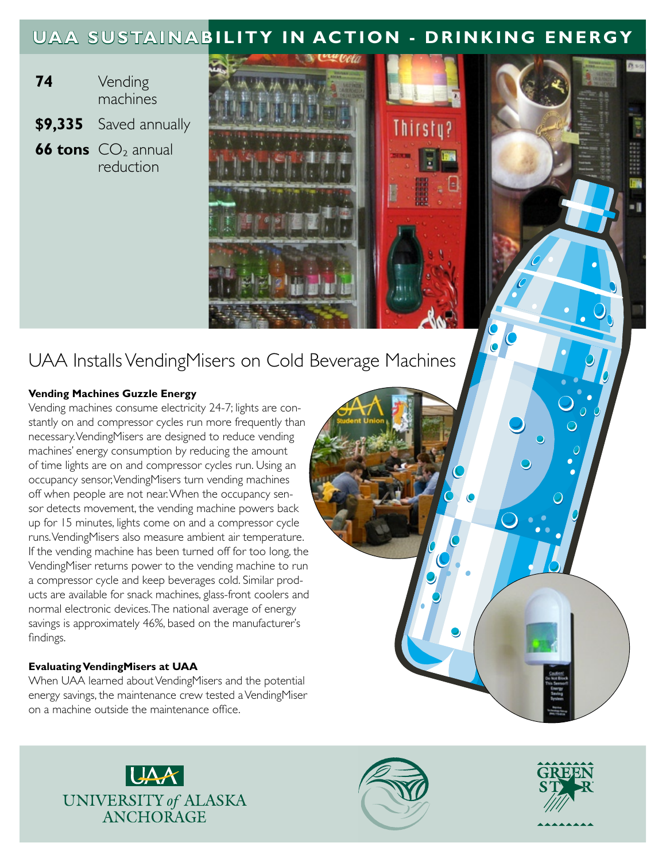## **UAA SUSTAINABILITY IN ACTION - DRINKING ENERGY**

- **74** Vending machines
- **\$9,335** Saved annually
- **66 tons** CO<sub>2</sub> annual reduction



## UAA Installs VendingMisers on Cold Beverage Machines

### **Vending Machines Guzzle Energy**

Vending machines consume electricity 24-7; lights are constantly on and compressor cycles run more frequently than necessary. VendingMisers are designed to reduce vending machines' energy consumption by reducing the amount of time lights are on and compressor cycles run. Using an occupancy sensor, VendingMisers turn vending machines off when people are not near. When the occupancy sensor detects movement, the vending machine powers back up for 15 minutes, lights come on and a compressor cycle runs. VendingMisers also measure ambient air temperature. If the vending machine has been turned off for too long, the VendingMiser returns power to the vending machine to run a compressor cycle and keep beverages cold. Similar products are available for snack machines, glass-front coolers and normal electronic devices. The national average of energy savings is approximately 46%, based on the manufacturer's findings.

### **Evaluating VendingMisers at UAA**

When UAA learned about VendingMisers and the potential energy savings, the maintenance crew tested a VendingMiser on a machine outside the maintenance office.







 $\frac{1}{2}$